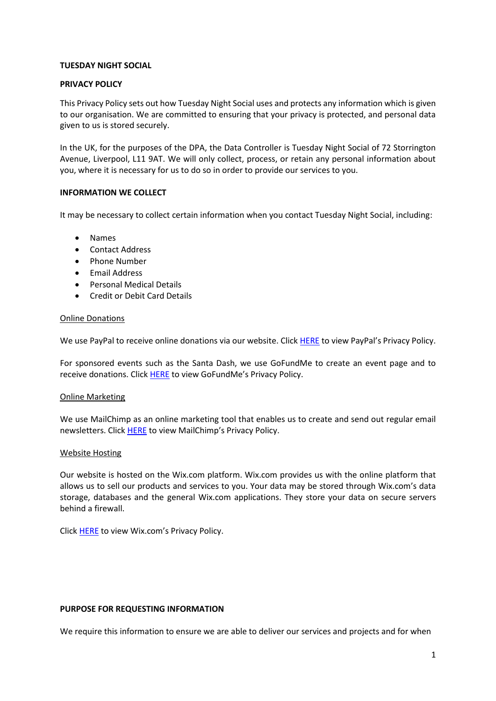## **TUESDAY NIGHT SOCIAL**

## **PRIVACY POLICY**

This Privacy Policy sets out how Tuesday Night Social uses and protects any information which is given to our organisation. We are committed to ensuring that your privacy is protected, and personal data given to us is stored securely.

In the UK, for the purposes of the DPA, the Data Controller is Tuesday Night Social of 72 Storrington Avenue, Liverpool, L11 9AT. We will only collect, process, or retain any personal information about you, where it is necessary for us to do so in order to provide our services to you.

### **INFORMATION WE COLLECT**

It may be necessary to collect certain information when you contact Tuesday Night Social, including:

- Names
- Contact Address
- Phone Number
- Email Address
- Personal Medical Details
- Credit or Debit Card Details

#### Online Donations

We use PayPal to receive online donations via our website. Click [HERE](https://www.paypal.com/en/webapps/mpp/ua/privacy-full) to view PayPal's Privacy Policy.

For sponsored events such as the Santa Dash, we use GoFundMe to create an event page and to receive donations. Click [HERE](https://www.gofundme.com/en-gb/c/privacy) to view GoFundMe's Privacy Policy.

#### Online Marketing

We use MailChimp as an online marketing tool that enables us to create and send out regular email newsletters. Clic[k HERE](https://mailchimp.com/legal/privacy/) to view MailChimp's Privacy Policy.

#### Website Hosting

Our website is hosted on the Wix.com platform. Wix.com provides us with the online platform that allows us to sell our products and services to you. Your data may be stored through Wix.com's data storage, databases and the general Wix.com applications. They store your data on secure servers behind a firewall.

Click [HERE](https://www.wix.com/about/privacy) to view Wix.com's Privacy Policy.

#### **PURPOSE FOR REQUESTING INFORMATION**

We require this information to ensure we are able to deliver our services and projects and for when